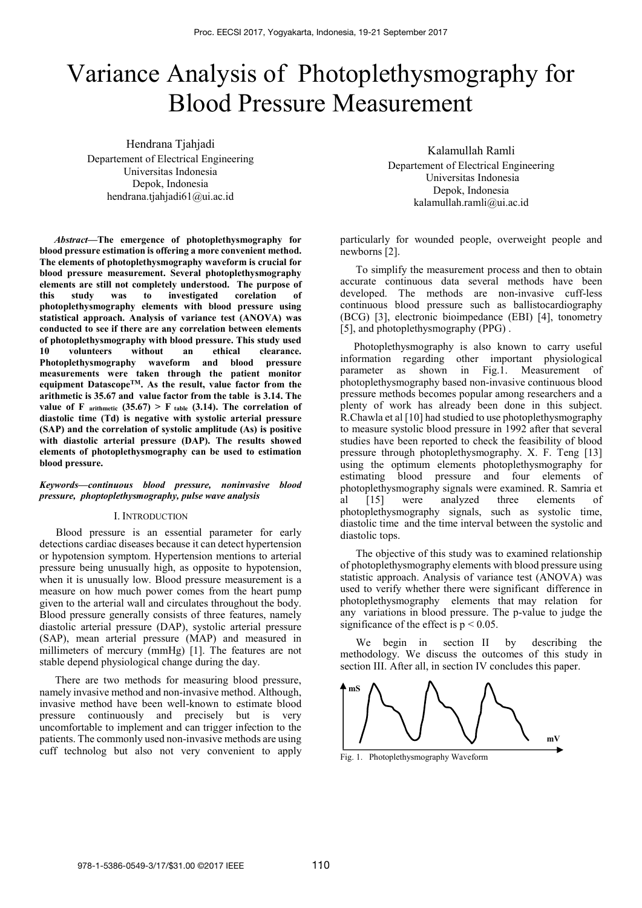# Variance Analysis of Photoplethysmography for Blood Pressure Measurement

Hendrana Tjahjadi Departement of Electrical Engineering Universitas Indonesia Depok, Indonesia hendrana.tjahjadi61@ui.ac.id

*Abstract***—The emergence of photoplethysmography for blood pressure estimation is offering a more convenient method. The elements of photoplethysmography waveform is crucial for blood pressure measurement. Several photoplethysmography elements are still not completely understood. The purpose of this study was to investigated corelation of photoplethysmography elements with blood pressure using statistical approach. Analysis of variance test (ANOVA) was conducted to see if there are any correlation between elements of photoplethysmography with blood pressure. This study used 10 volunteers without an ethical clearance. Photoplethysmography waveform and blood pressure measurements were taken through the patient monitor**  equipment Datascope<sup>TM</sup>. As the result, value factor from the **arithmetic is 35.67 and value factor from the table is 3.14. The**  value of F arithmetic  $(35.67) > F$  table  $(3.14)$ . The correlation of **diastolic time (Td) is negative with systolic arterial pressure (SAP) and the correlation of systolic amplitude (As) is positive with diastolic arterial pressure (DAP). The results showed elements of photoplethysmography can be used to estimation blood pressure.** 

# *Keywords—continuous blood pressure, noninvasive blood pressure, phoptoplethysmography, pulse wave analysis*

### I. INTRODUCTION

 Blood pressure is an essential parameter for early detections cardiac diseases because it can detect hypertension or hypotension symptom. Hypertension mentions to arterial pressure being unusually high, as opposite to hypotension, when it is unusually low. Blood pressure measurement is a measure on how much power comes from the heart pump given to the arterial wall and circulates throughout the body. Blood pressure generally consists of three features, namely diastolic arterial pressure (DAP), systolic arterial pressure (SAP), mean arterial pressure (MAP) and measured in millimeters of mercury (mmHg) [1]. The features are not stable depend physiological change during the day.

There are two methods for measuring blood pressure, namely invasive method and non-invasive method. Although, invasive method have been well-known to estimate blood pressure continuously and precisely but is very uncomfortable to implement and can trigger infection to the patients. The commonly used non-invasive methods are using cuff technolog but also not very convenient to apply

Kalamullah Ramli Departement of Electrical Engineering Universitas Indonesia Depok, Indonesia kalamullah.ramli@ui.ac.id

particularly for wounded people, overweight people and newborns [2].

To simplify the measurement process and then to obtain accurate continuous data several methods have been developed. The methods are non-invasive cuff-less continuous blood pressure such as ballistocardiography (BCG) [3], electronic bioimpedance (EBI) [4], tonometry [5], and photoplethysmography (PPG) .

 Photoplethysmography is also known to carry useful information regarding other important physiological parameter as shown in Fig.1. Measurement of photoplethysmography based non-invasive continuous blood pressure methods becomes popular among researchers and a plenty of work has already been done in this subject. R.Chawla et al [10] had studied to use photoplethysmography to measure systolic blood pressure in 1992 after that several studies have been reported to check the feasibility of blood pressure through photoplethysmography. X. F. Teng [13] using the optimum elements photoplethysmography for estimating blood pressure and four elements of photoplethysmography signals were examined. R. Samria et al [15] were analyzed three elements of photoplethysmography signals, such as systolic time, diastolic time and the time interval between the systolic and diastolic tops.

The objective of this study was to examined relationship of photoplethysmography elements with blood pressure using statistic approach. Analysis of variance test (ANOVA) was used to verify whether there were significant difference in photoplethysmography elements that may relation for any variations in blood pressure. The p-value to judge the significance of the effect is  $p < 0.05$ .

We begin in section II by describing the methodology. We discuss the outcomes of this study in section III. After all, in section IV concludes this paper.



Fig. 1. Photoplethysmography Waveform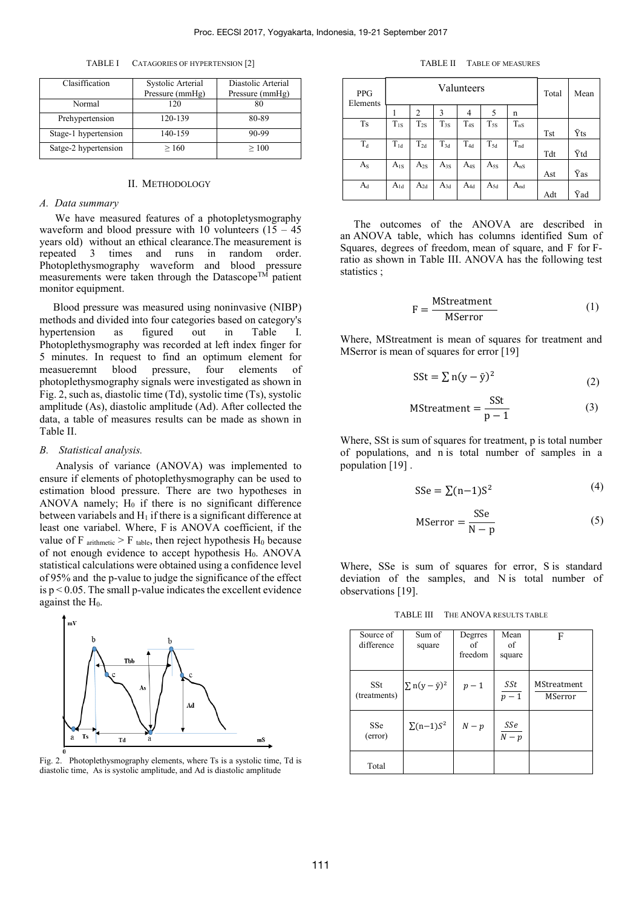TABLE I CATAGORIES OF HYPERTENSION [2]

| Clasiffication       | Systolic Arterial<br>Pressure (mmHg) | Diastolic Arterial<br>Pressure (mmHg) |  |  |
|----------------------|--------------------------------------|---------------------------------------|--|--|
| Normal               | 120                                  | 80                                    |  |  |
| Prehypertension      | 120-139                              | 80-89                                 |  |  |
| Stage-1 hypertension | 140-159                              | 90-99                                 |  |  |
| Satge-2 hypertension | >160                                 | >100                                  |  |  |

# II. METHODOLOGY

#### *A. Data summary*

We have measured features of a photopletysmography waveform and blood pressure with 10 volunteers  $(15 - 45)$ years old) without an ethical clearance.The measurement is repeated 3 times and runs in random order. Photoplethysmography waveform and blood pressure measurements were taken through the Datascope<sup>TM</sup> patient monitor equipment.

 Blood pressure was measured using noninvasive (NIBP) methods and divided into four categories based on category's hypertension as figured out in Table I. Photoplethysmography was recorded at left index finger for 5 minutes. In request to find an optimum element for measueremnt blood pressure, four elements of photoplethysmography signals were investigated as shown in Fig. 2, such as, diastolic time (Td), systolic time (Ts), systolic amplitude (As), diastolic amplitude (Ad). After collected the data, a table of measures results can be made as shown in Table II.

#### *B. Statistical analysis.*

 Analysis of variance (ANOVA) was implemented to ensure if elements of photoplethysmography can be used to estimation blood pressure. There are two hypotheses in ANOVA namely;  $H_0$  if there is no significant difference between variabels and  $H_1$  if there is a significant difference at least one variabel. Where, F is ANOVA coefficient, if the value of F  $_{\text{arithmetic}}$  > F  $_{\text{table}}$ , then reject hypothesis H<sub>0</sub> because of not enough evidence to accept hypothesis  $H<sub>0</sub>$ . ANOVA statistical calculations were obtained using a confidence level of 95% and the p-value to judge the significance of the effect is  $p < 0.05$ . The small p-value indicates the excellent evidence against the H<sub>0</sub>.



Fig. 2. Photoplethysmography elements, where Ts is a systolic time, Td is diastolic time, As is systolic amplitude, and Ad is diastolic amplitude

TABLE II TABLE OF MEASURES

| <b>PPG</b><br>Elements | Valunteers |                |          |          | Total    | Mean     |            |     |
|------------------------|------------|----------------|----------|----------|----------|----------|------------|-----|
|                        |            | $\overline{2}$ | 3        | 4        | 5        | n        |            |     |
| <b>Ts</b>              | $T_{1S}$   | $T_{2S}$       | $T_{3S}$ | $T_{4S}$ | $T_{5S}$ | $T_{nS}$ |            |     |
|                        |            |                |          |          |          |          | <b>Tst</b> | Ϋts |
| $T_d$                  | $T_{1d}$   | $T_{2d}$       | $T_{3d}$ | $T_{4d}$ | $T_{5d}$ | $T_{nd}$ |            |     |
|                        |            |                |          |          |          |          | Tdt        | Ÿtd |
| $A_{S}$                | $A_{1S}$   | $A_{2S}$       | $A_{3S}$ | $A_{4S}$ | $A_{5S}$ | $A_{nS}$ |            |     |
|                        |            |                |          |          |          |          | Ast        | Ÿаs |
| $A_d$                  | $A_{1d}$   | $A_{2d}$       | $A_{3d}$ | $A_{4d}$ | $A_{5d}$ | $A_{nd}$ |            |     |
|                        |            |                |          |          |          |          | Adt        | Ÿad |

 The outcomes of the ANOVA are described in an ANOVA table, which has columns identified Sum of Squares, degrees of freedom, mean of square, and F for Fratio as shown in Table III. ANOVA has the following test statistics ;

$$
F = \frac{MStreament}{MServer}
$$
 (1)

Where, MStreatment is mean of squares for treatment and MSerror is mean of squares for error [19]

$$
SSt = \sum n(y - \bar{y})^2
$$
 (2)

MStreament = 
$$
\frac{\text{SSt}}{\text{p} - 1}
$$
 (3)

Where, SSt is sum of squares for treatment, p is total number of populations, and n is total number of samples in a population [19] .

$$
SSe = \sum (n-1)S^2
$$
 (4)

$$
M\text{Server} = \frac{\text{SSe}}{\text{N} - \text{p}}\tag{5}
$$

Where, SSe is sum of squares for error, S is standard deviation of the samples, and N is total number of observations [19].

TABLE III THE ANOVA RESULTS TABLE

| Source of    | Sum of                  | Degrres | Mean            | F                  |
|--------------|-------------------------|---------|-----------------|--------------------|
| difference   | square                  | of      | of              |                    |
|              |                         | freedom | square          |                    |
|              |                         |         |                 |                    |
|              |                         |         |                 | <b>MStreatment</b> |
| SSt          | $\sum n(y - \bar{y})^2$ | $p-1$   | SSt             |                    |
| (treatments) |                         |         | $p-1$           | MSerror            |
|              |                         |         |                 |                    |
| SSe          | $\sum(n-1)S^2$          | $N-p$   |                 |                    |
| (error)      |                         |         | $rac{SSe}{N-p}$ |                    |
|              |                         |         |                 |                    |
|              |                         |         |                 |                    |
| Total        |                         |         |                 |                    |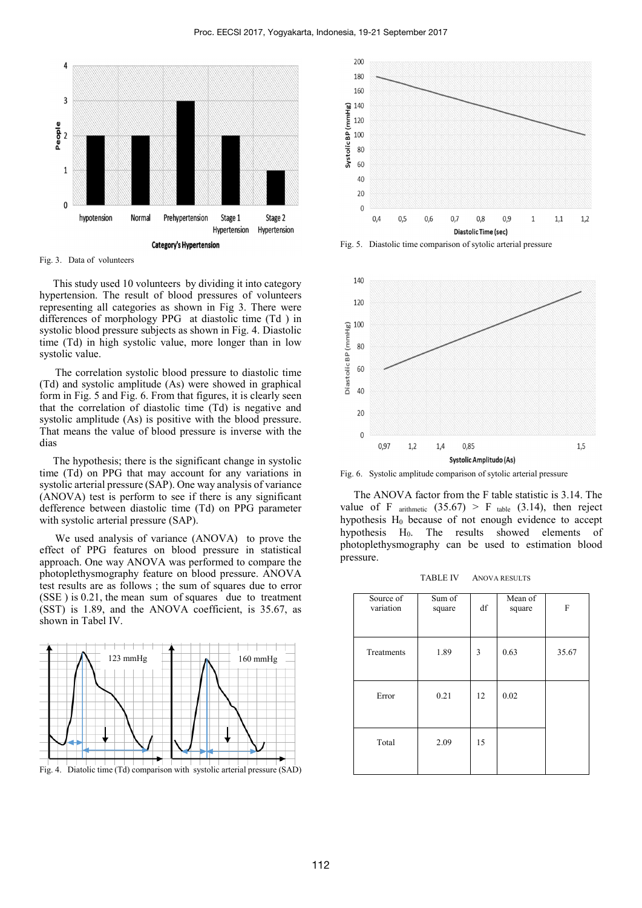

 This study used 10 volunteers by dividing it into category hypertension. The result of blood pressures of volunteers representing all categories as shown in Fig 3. There were differences of morphology PPG at diastolic time (Td ) in systolic blood pressure subjects as shown in Fig. 4. Diastolic time (Td) in high systolic value, more longer than in low systolic value.

The correlation systolic blood pressure to diastolic time (Td) and systolic amplitude (As) were showed in graphical form in Fig. 5 and Fig. 6. From that figures, it is clearly seen that the correlation of diastolic time (Td) is negative and systolic amplitude (As) is positive with the blood pressure. That means the value of blood pressure is inverse with the dias

 The hypothesis; there is the significant change in systolic time (Td) on PPG that may account for any variations in systolic arterial pressure (SAP). One way analysis of variance (ANOVA) test is perform to see if there is any significant defference between diastolic time (Td) on PPG parameter with systolic arterial pressure (SAP).

We used analysis of variance (ANOVA) to prove the effect of PPG features on blood pressure in statistical approach. One way ANOVA was performed to compare the photoplethysmography feature on blood pressure. ANOVA test results are as follows ; the sum of squares due to error (SSE ) is 0.21, the mean sum of squares due to treatment (SST) is 1.89, and the ANOVA coefficient, is 35.67, as shown in Tabel IV.







Fig. 5. Diastolic time comparison of sytolic arterial pressure



Fig. 6. Systolic amplitude comparison of sytolic arterial pressure

 The ANOVA factor from the F table statistic is 3.14. The value of F arithmetic  $(35.67) > F$  table  $(3.14)$ , then reject hypothesis  $H_0$  because of not enough evidence to accept hypothesis  $H_0$ . The results showed elements of photoplethysmography can be used to estimation blood pressure.

TABLE IV ANOVA RESULTS

| Source of<br>variation | Sum of<br>square | df | Mean of<br>square | F     |
|------------------------|------------------|----|-------------------|-------|
| Treatments             | 1.89             | 3  | 0.63              | 35.67 |
| Error                  | 0.21             | 12 | 0.02              |       |
| Total                  | 2.09             | 15 |                   |       |